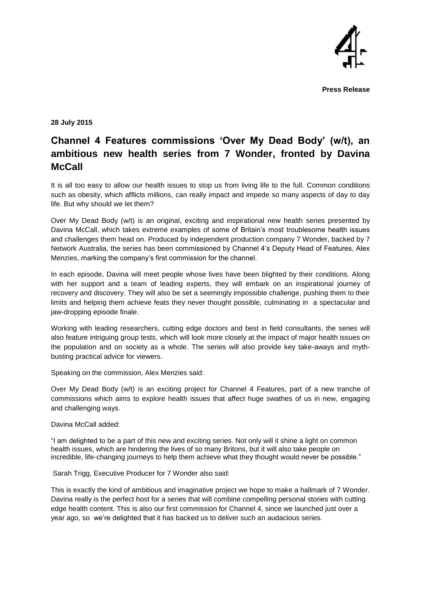

**Press Release** 

**28 July 2015** 

## **Channel 4 Features commissions 'Over My Dead Body' (w/t), an ambitious new health series from 7 Wonder, fronted by Davina McCall**

It is all too easy to allow our health issues to stop us from living life to the full. Common conditions such as obesity, which afflicts millions, can really impact and impede so many aspects of day to day life. But why should we let them?

Over My Dead Body (w/t) is an original, exciting and inspirational new health series presented by Davina McCall, which takes extreme examples of some of Britain's most troublesome health issues and challenges them head on. Produced by independent production company 7 Wonder, backed by 7 Network Australia, the series has been commissioned by Channel 4's Deputy Head of Features, Alex Menzies, marking the company's first commission for the channel.

In each episode, Davina will meet people whose lives have been blighted by their conditions. Along with her support and a team of leading experts, they will embark on an inspirational journey of recovery and discovery. They will also be set a seemingly impossible challenge, pushing them to their limits and helping them achieve feats they never thought possible, culminating in a spectacular and jaw-dropping episode finale.

Working with leading researchers, cutting edge doctors and best in field consultants, the series will also feature intriguing group tests, which will look more closely at the impact of major health issues on the population and on society as a whole. The series will also provide key take-aways and mythbusting practical advice for viewers.

Speaking on the commission, Alex Menzies said:

Over My Dead Body (w/t) is an exciting project for Channel 4 Features, part of a new tranche of commissions which aims to explore health issues that affect huge swathes of us in new, engaging and challenging ways.

Davina McCall added:

"I am delighted to be a part of this new and exciting series. Not only will it shine a light on common health issues, which are hindering the lives of so many Britons, but it will also take people on incredible, life-changing journeys to help them achieve what they thought would never be possible."

Sarah Trigg, Executive Producer for 7 Wonder also said:

This is exactly the kind of ambitious and imaginative project we hope to make a hallmark of 7 Wonder. Davina really is the perfect host for a series that will combine compelling personal stories with cutting edge health content. This is also our first commission for Channel 4, since we launched just over a year ago, so we're delighted that it has backed us to deliver such an audacious series.